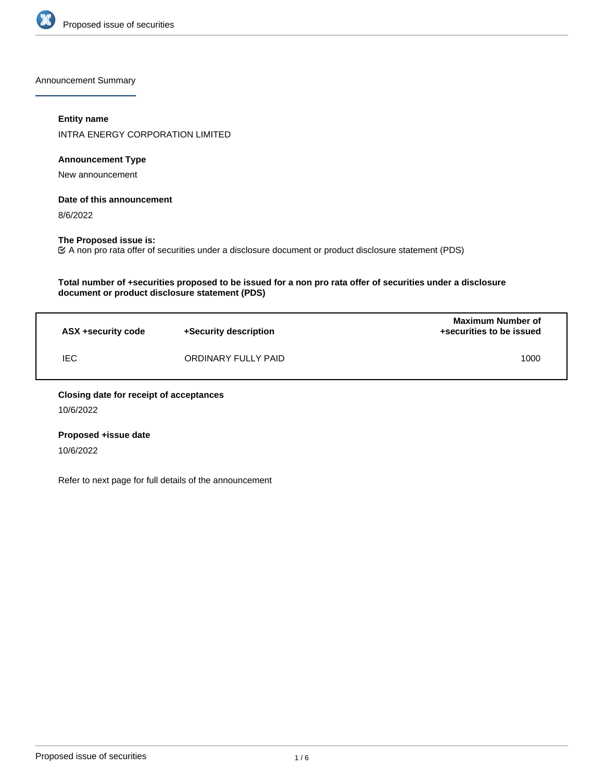

Announcement Summary

## **Entity name**

INTRA ENERGY CORPORATION LIMITED

# **Announcement Type**

New announcement

## **Date of this announcement**

8/6/2022

## **The Proposed issue is:**

A non pro rata offer of securities under a disclosure document or product disclosure statement (PDS)

## **Total number of +securities proposed to be issued for a non pro rata offer of securities under a disclosure document or product disclosure statement (PDS)**

| ASX +security code | +Security description | <b>Maximum Number of</b><br>+securities to be issued |
|--------------------|-----------------------|------------------------------------------------------|
| <b>IEC</b>         | ORDINARY FULLY PAID   | 1000                                                 |

#### **Closing date for receipt of acceptances**

10/6/2022

# **Proposed +issue date**

10/6/2022

Refer to next page for full details of the announcement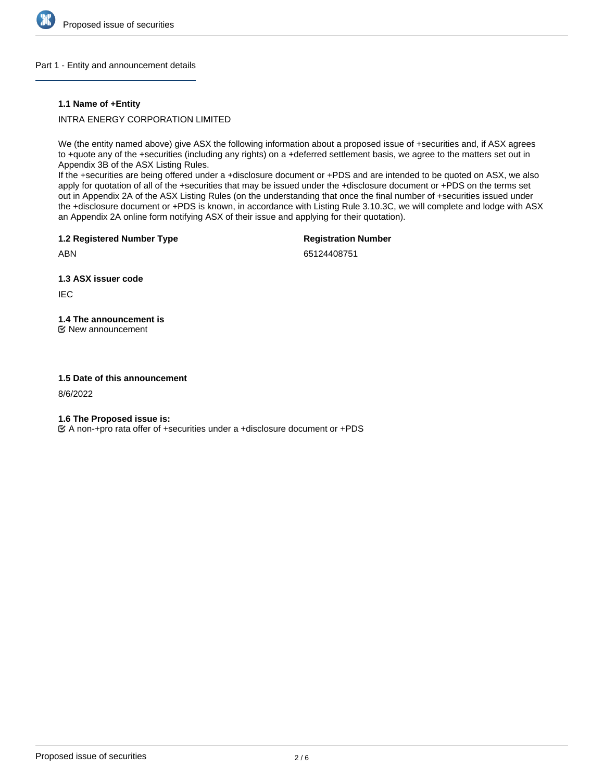

## Part 1 - Entity and announcement details

## **1.1 Name of +Entity**

INTRA ENERGY CORPORATION LIMITED

We (the entity named above) give ASX the following information about a proposed issue of +securities and, if ASX agrees to +quote any of the +securities (including any rights) on a +deferred settlement basis, we agree to the matters set out in Appendix 3B of the ASX Listing Rules.

If the +securities are being offered under a +disclosure document or +PDS and are intended to be quoted on ASX, we also apply for quotation of all of the +securities that may be issued under the +disclosure document or +PDS on the terms set out in Appendix 2A of the ASX Listing Rules (on the understanding that once the final number of +securities issued under the +disclosure document or +PDS is known, in accordance with Listing Rule 3.10.3C, we will complete and lodge with ASX an Appendix 2A online form notifying ASX of their issue and applying for their quotation).

**1.2 Registered Number Type**

**Registration Number**

ABN

65124408751

**1.3 ASX issuer code**

IEC

**1.4 The announcement is** New announcement

## **1.5 Date of this announcement**

8/6/2022

**1.6 The Proposed issue is:**

A non-+pro rata offer of +securities under a +disclosure document or +PDS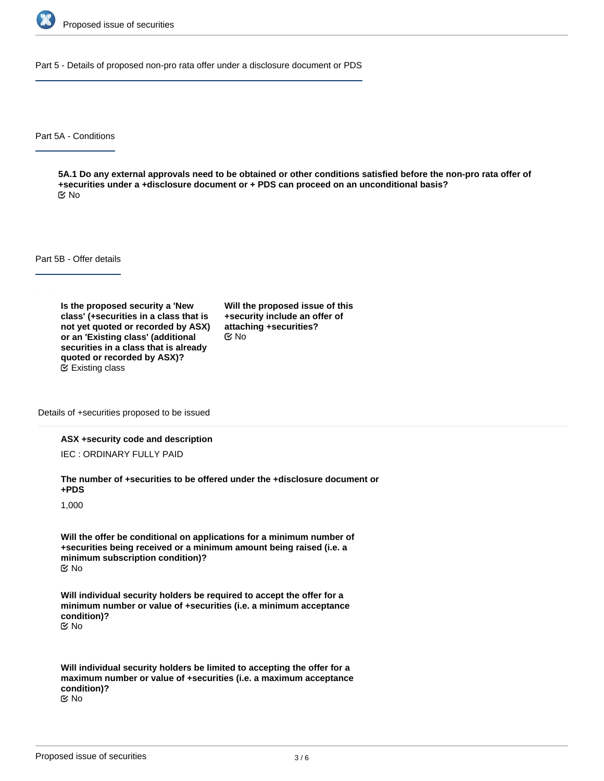

Part 5 - Details of proposed non-pro rata offer under a disclosure document or PDS

Part 5A - Conditions

**5A.1 Do any external approvals need to be obtained or other conditions satisfied before the non-pro rata offer of +securities under a +disclosure document or + PDS can proceed on an unconditional basis?** No

Part 5B - Offer details

**Is the proposed security a 'New class' (+securities in a class that is not yet quoted or recorded by ASX) or an 'Existing class' (additional securities in a class that is already quoted or recorded by ASX)?** Existing class

**Will the proposed issue of this +security include an offer of attaching +securities?** No

Details of +securities proposed to be issued

#### **ASX +security code and description**

IEC : ORDINARY FULLY PAID

**The number of +securities to be offered under the +disclosure document or +PDS**

1,000

**Will the offer be conditional on applications for a minimum number of +securities being received or a minimum amount being raised (i.e. a minimum subscription condition)?** No

**Will individual security holders be required to accept the offer for a minimum number or value of +securities (i.e. a minimum acceptance condition)?** No

**Will individual security holders be limited to accepting the offer for a maximum number or value of +securities (i.e. a maximum acceptance condition)?** No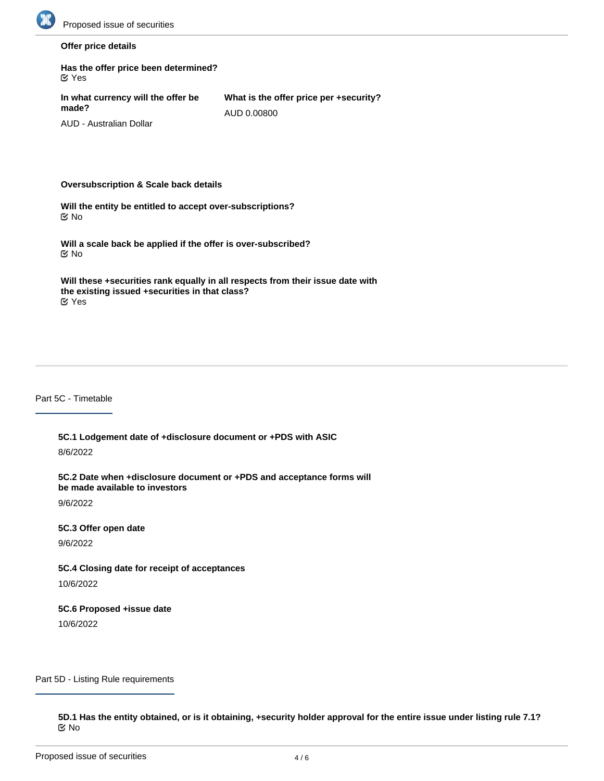

## **Offer price details**

| Has the offer price been determined?<br><b>M</b> Yes |                                                       |
|------------------------------------------------------|-------------------------------------------------------|
| In what currency will the offer be<br>made?          | What is the offer price per +security?<br>AUD 0.00800 |
| AUD - Australian Dollar                              |                                                       |

#### **Oversubscription & Scale back details**

**Will the entity be entitled to accept over-subscriptions?** No

**Will a scale back be applied if the offer is over-subscribed?** No

**Will these +securities rank equally in all respects from their issue date with the existing issued +securities in that class?** Yes

#### Part 5C - Timetable

**5C.1 Lodgement date of +disclosure document or +PDS with ASIC** 8/6/2022

**5C.2 Date when +disclosure document or +PDS and acceptance forms will be made available to investors**

9/6/2022

**5C.3 Offer open date**

9/6/2022

**5C.4 Closing date for receipt of acceptances**

10/6/2022

**5C.6 Proposed +issue date**

10/6/2022

Part 5D - Listing Rule requirements

**5D.1 Has the entity obtained, or is it obtaining, +security holder approval for the entire issue under listing rule 7.1?** No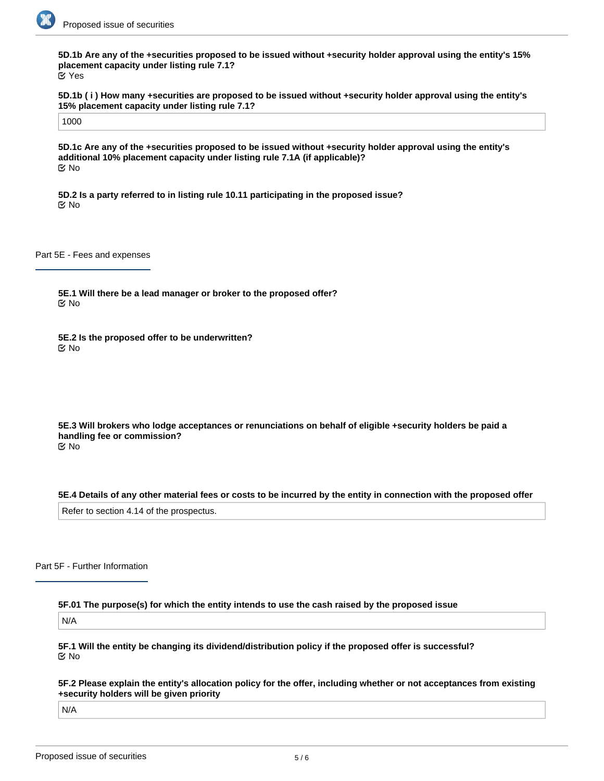

**5D.1b Are any of the +securities proposed to be issued without +security holder approval using the entity's 15% placement capacity under listing rule 7.1?** Yes

**5D.1b ( i ) How many +securities are proposed to be issued without +security holder approval using the entity's 15% placement capacity under listing rule 7.1?**

1000

**5D.1c Are any of the +securities proposed to be issued without +security holder approval using the entity's additional 10% placement capacity under listing rule 7.1A (if applicable)?** No

**5D.2 Is a party referred to in listing rule 10.11 participating in the proposed issue?** No

Part 5E - Fees and expenses

**5E.1 Will there be a lead manager or broker to the proposed offer?** No

**5E.2 Is the proposed offer to be underwritten?** No

**5E.3 Will brokers who lodge acceptances or renunciations on behalf of eligible +security holders be paid a handling fee or commission?** No

**5E.4 Details of any other material fees or costs to be incurred by the entity in connection with the proposed offer**

Refer to section 4.14 of the prospectus.

#### Part 5F - Further Information

**5F.01 The purpose(s) for which the entity intends to use the cash raised by the proposed issue**

N/A

**5F.1 Will the entity be changing its dividend/distribution policy if the proposed offer is successful?** No

**5F.3 URL on the entity's website where investors can download the +disclosure document or +PDS**

**5F.2 Please explain the entity's allocation policy for the offer, including whether or not acceptances from existing +security holders will be given priority**

N/A